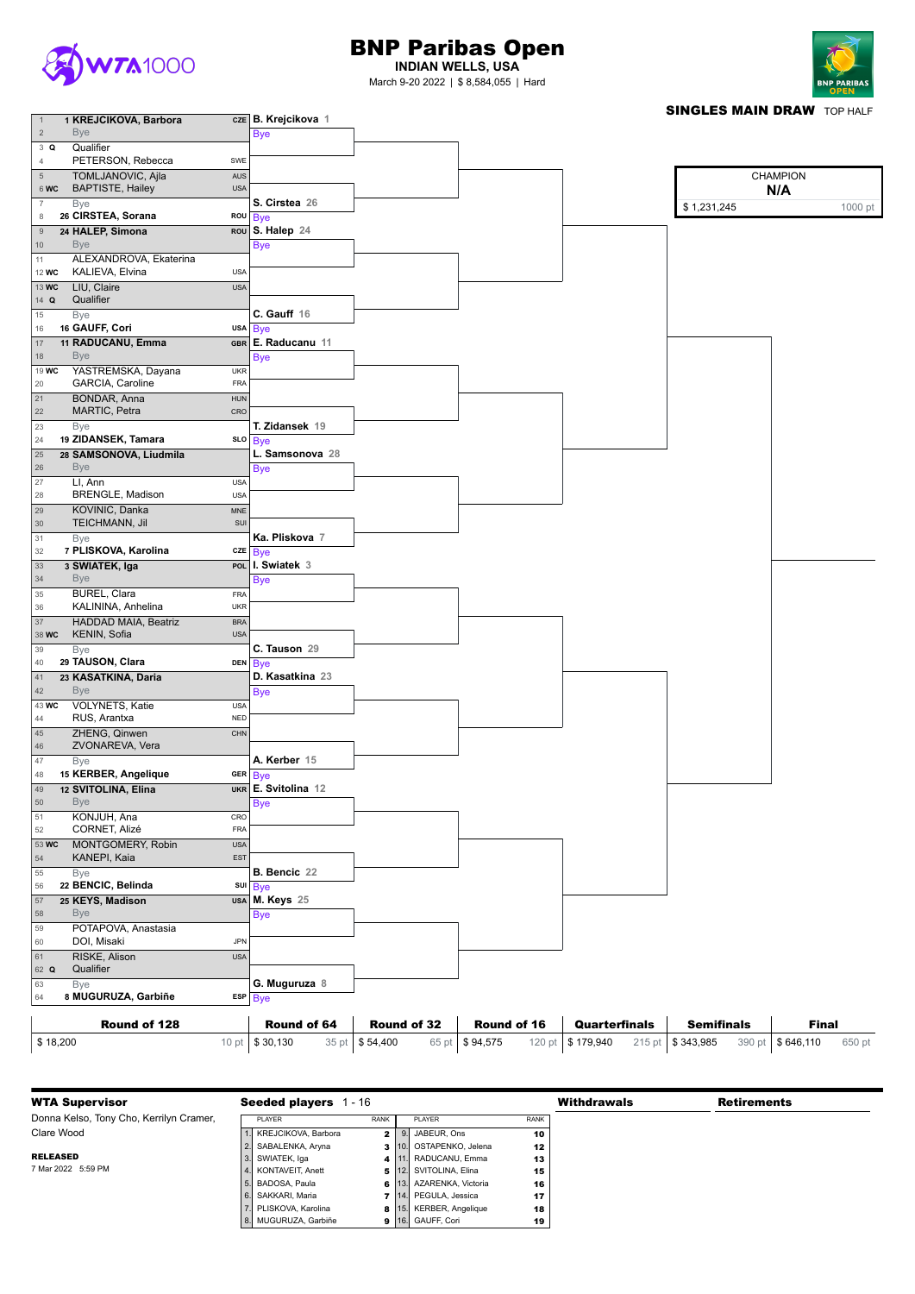

## BNP Paribas Open

**INDIAN WELLS, USA** March 9-20 2022 | \$ 8,584,055 | Hard



**SINGLES MAIN DRAW TOP HALF** 

| $\overline{1}$  | 1 KREJCIKOVA, Barbora       |            | CZE B. Krejcikova 1 |  |             | <b>SINGLES MAIN DRAW TOP HALF</b> |
|-----------------|-----------------------------|------------|---------------------|--|-------------|-----------------------------------|
| $\overline{2}$  | <b>Bye</b>                  |            | <b>Bye</b>          |  |             |                                   |
|                 |                             |            |                     |  |             |                                   |
| 3 Q             | Qualifier                   |            |                     |  |             |                                   |
| 4               | PETERSON, Rebecca           | SWE        |                     |  |             |                                   |
| $\sqrt{5}$      | TOMLJANOVIC, Ajla           | AUS        |                     |  |             | <b>CHAMPION</b>                   |
| 6 WC            | <b>BAPTISTE, Hailey</b>     | <b>USA</b> |                     |  |             |                                   |
|                 |                             |            |                     |  |             | N/A                               |
| $\overline{7}$  | Bye                         |            | S. Cirstea 26       |  | \$1,231,245 | 1000 pt                           |
| 8               | 26 CIRSTEA, Sorana          |            | ROU Bye             |  |             |                                   |
| $9$             | 24 HALEP, Simona            |            | ROU S. Halep 24     |  |             |                                   |
|                 |                             |            |                     |  |             |                                   |
| 10 <sub>1</sub> | <b>Bye</b>                  |            | <b>Bye</b>          |  |             |                                   |
| 11              | ALEXANDROVA, Ekaterina      |            |                     |  |             |                                   |
| 12 WC           | KALIEVA, Elvina             | <b>USA</b> |                     |  |             |                                   |
|                 |                             |            |                     |  |             |                                   |
| 13 WC           | LIU, Claire                 | <b>USA</b> |                     |  |             |                                   |
| 14 $Q$          | Qualifier                   |            |                     |  |             |                                   |
| 15              | Bye                         |            | C. Gauff 16         |  |             |                                   |
| 16              | 16 GAUFF, Cori              |            | usa Bye             |  |             |                                   |
|                 |                             |            |                     |  |             |                                   |
| 17              | 11 RADUCANU, Emma           |            | GBR E. Raducanu 11  |  |             |                                   |
| 18              | <b>Bye</b>                  |            | <b>Bye</b>          |  |             |                                   |
| 19 WC           | YASTREMSKA, Dayana          | <b>UKR</b> |                     |  |             |                                   |
|                 | GARCIA, Caroline            | <b>FRA</b> |                     |  |             |                                   |
| 20              |                             |            |                     |  |             |                                   |
| 21              | <b>BONDAR, Anna</b>         | <b>HUN</b> |                     |  |             |                                   |
| 22              | MARTIC, Petra               | CRO        |                     |  |             |                                   |
| 23              | Bye                         |            | T. Zidansek 19      |  |             |                                   |
|                 | 19 ZIDANSEK, Tamara         |            |                     |  |             |                                   |
| 24              |                             |            | sLo Bye             |  |             |                                   |
| 25              | 28 SAMSONOVA, Liudmila      |            | L. Samsonova 28     |  |             |                                   |
| 26              | <b>Bye</b>                  |            | <b>Bye</b>          |  |             |                                   |
| 27              | LI, Ann                     | <b>USA</b> |                     |  |             |                                   |
|                 |                             |            |                     |  |             |                                   |
| 28              | BRENGLE, Madison            | <b>USA</b> |                     |  |             |                                   |
| 29              | KOVINIC, Danka              | <b>MNE</b> |                     |  |             |                                   |
| 30              | TEICHMANN, Jil              | SUI        |                     |  |             |                                   |
|                 |                             |            |                     |  |             |                                   |
| 31              | Bye                         |            | Ka. Pliskova 7      |  |             |                                   |
| 32              | 7 PLISKOVA, Karolina        |            | cze Bye             |  |             |                                   |
| 33              | 3 SWIATEK, Iga              |            | POL I. Swiatek 3    |  |             |                                   |
| 34              | <b>Bye</b>                  |            | <b>Bye</b>          |  |             |                                   |
|                 |                             |            |                     |  |             |                                   |
| 35              | BUREL, Clara                | FRA        |                     |  |             |                                   |
| $36\,$          | KALININA, Anhelina          | <b>UKR</b> |                     |  |             |                                   |
| 37              | <b>HADDAD MAIA, Beatriz</b> | <b>BRA</b> |                     |  |             |                                   |
| 38 WC           | KENIN, Sofia                | <b>USA</b> |                     |  |             |                                   |
|                 |                             |            |                     |  |             |                                   |
| 39              | Bye                         |            | C. Tauson 29        |  |             |                                   |
| 40              | 29 TAUSON, Clara            |            | DEN Bye             |  |             |                                   |
| 41              | 23 KASATKINA, Daria         |            | D. Kasatkina 23     |  |             |                                   |
| $42$            | <b>Bye</b>                  |            |                     |  |             |                                   |
|                 |                             |            | <b>Bye</b>          |  |             |                                   |
| 43 WC           | VOLYNETS, Katie             | <b>USA</b> |                     |  |             |                                   |
| 44              | RUS, Arantxa                | $\sf{NED}$ |                     |  |             |                                   |
| 45              | ZHENG, Qinwen               | CHN        |                     |  |             |                                   |
|                 | ZVONAREVA, Vera             |            |                     |  |             |                                   |
| 46              |                             |            |                     |  |             |                                   |
| 47              | Bye                         |            | A. Kerber 15        |  |             |                                   |
| 48              | 15 KERBER, Angelique        |            | GER Bye             |  |             |                                   |
| 49              | 12 SVITOLINA, Elina         |            | UKR E. Svitolina 12 |  |             |                                   |
|                 |                             |            |                     |  |             |                                   |
| 50              | <b>Bye</b>                  |            | <b>Bye</b>          |  |             |                                   |
| 51              | KONJUH, Ana                 | CRO        |                     |  |             |                                   |
| 52              | CORNET, Alizé               | <b>FRA</b> |                     |  |             |                                   |
| 53 WC           | MONTGOMERY, Robin           | <b>USA</b> |                     |  |             |                                   |
|                 |                             |            |                     |  |             |                                   |
| 54              | KANEPI, Kaia                | <b>EST</b> |                     |  |             |                                   |
| 55              | Bye                         |            | B. Bencic 22        |  |             |                                   |
| 56              | 22 BENCIC, Belinda          |            | sul Bye             |  |             |                                   |
|                 |                             |            |                     |  |             |                                   |
| 57              | 25 KEYS, Madison            |            | USA M. Keys 25      |  |             |                                   |
| 58              | <b>Bye</b>                  |            | <b>Bye</b>          |  |             |                                   |
| 59              | POTAPOVA, Anastasia         |            |                     |  |             |                                   |
| 60              | DOI, Misaki                 | JPN        |                     |  |             |                                   |
|                 |                             |            |                     |  |             |                                   |
| 61              | RISKE, Alison               | <b>USA</b> |                     |  |             |                                   |
| 62 Q            | Qualifier                   |            |                     |  |             |                                   |
| 63              | Bye                         |            | G. Muguruza 8       |  |             |                                   |
| 64              | 8 MUGURUZA, Garbiñe         |            | $ESP$ $Bve$         |  |             |                                   |

| 163<br><b>B</b> ve        | <b>G. Muguruza 8</b>          |             |                |                    |                |                    |                      |                    |                    |        |
|---------------------------|-------------------------------|-------------|----------------|--------------------|----------------|--------------------|----------------------|--------------------|--------------------|--------|
| 8 MUGURUZA, Garbiñe<br>64 | $ESP$ Bye                     |             |                |                    |                |                    |                      |                    |                    |        |
| Round of 128              |                               | Round of 64 |                | <b>Round of 32</b> |                | <b>Round of 16</b> | <b>Quarterfinals</b> | <b>Semifinals</b>  | <b>Final</b>       |        |
|                           |                               |             |                |                    |                |                    |                      |                    |                    |        |
| \$18,200                  | 10 pt $\frac{1}{2}$ \$ 30,130 |             | 35 pt \$54,400 |                    | 65 pt \$94,575 |                    | 120 pt \$179,940     | 215 pt   \$343,985 | 390 pt   \$646,110 | 650 pt |

| <b>WTA Supervisor</b>                   | <b>Seeded players</b> | - 16        |                                |             | <b>Withdrawals</b> | <b>Retirements</b> |
|-----------------------------------------|-----------------------|-------------|--------------------------------|-------------|--------------------|--------------------|
| Donna Kelso, Tony Cho, Kerrilyn Cramer, | PLAYER                | <b>RANK</b> | PLAYER                         | <b>RANK</b> |                    |                    |
| Clare Wood                              | KREJCIKOVA, Barbora   |             | $2$   9. JABEUR, Ons           | 10          |                    |                    |
|                                         | 2. SABALENKA, Aryna   |             | 3 10. OSTAPENKO, Jelena        | 12          |                    |                    |
| <b>RELEASED</b>                         | 3. SWIATEK, Iga       |             | 4   11. RADUCANU, Emma         | 13          |                    |                    |
| 7 Mar 2022 5:59 PM                      | 4. KONTAVEIT, Anett   |             | 5 12. SVITOLINA, Elina         | 15          |                    |                    |
|                                         | 5. BADOSA, Paula      |             | 6 13. AZARENKA, Victoria       | 16          |                    |                    |
|                                         | 6. SAKKARI, Maria     |             | <b>7</b> 14. PEGULA, Jessica   | 17          |                    |                    |
|                                         | PLISKOVA, Karolina    |             | <b>8</b> 15. KERBER, Angelique | 18          |                    |                    |
|                                         | 8. MUGURUZA, Garbiñe  |             | 9 16. GAUFF, Cori              | 19          |                    |                    |